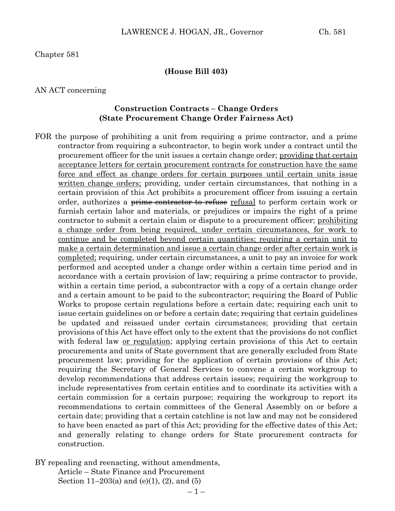Chapter 581

#### **(House Bill 403)**

#### AN ACT concerning

#### **Construction Contracts – Change Orders (State Procurement Change Order Fairness Act)**

FOR the purpose of prohibiting a unit from requiring a prime contractor, and a prime contractor from requiring a subcontractor, to begin work under a contract until the procurement officer for the unit issues a certain change order; providing that certain acceptance letters for certain procurement contracts for construction have the same force and effect as change orders for certain purposes until certain units issue written change orders; providing, under certain circumstances, that nothing in a certain provision of this Act prohibits a procurement officer from issuing a certain order, authorizes a prime contractor to refuse refusal to perform certain work or furnish certain labor and materials, or prejudices or impairs the right of a prime contractor to submit a certain claim or dispute to a procurement officer; prohibiting a change order from being required, under certain circumstances, for work to continue and be completed beyond certain quantities; requiring a certain unit to make a certain determination and issue a certain change order after certain work is completed; requiring, under certain circumstances, a unit to pay an invoice for work performed and accepted under a change order within a certain time period and in accordance with a certain provision of law; requiring a prime contractor to provide, within a certain time period, a subcontractor with a copy of a certain change order and a certain amount to be paid to the subcontractor; requiring the Board of Public Works to propose certain regulations before a certain date; requiring each unit to issue certain guidelines on or before a certain date; requiring that certain guidelines be updated and reissued under certain circumstances; providing that certain provisions of this Act have effect only to the extent that the provisions do not conflict with federal law or regulation; applying certain provisions of this Act to certain procurements and units of State government that are generally excluded from State procurement law; providing for the application of certain provisions of this Act; requiring the Secretary of General Services to convene a certain workgroup to develop recommendations that address certain issues; requiring the workgroup to include representatives from certain entities and to coordinate its activities with a certain commission for a certain purpose; requiring the workgroup to report its recommendations to certain committees of the General Assembly on or before a certain date; providing that a certain catchline is not law and may not be considered to have been enacted as part of this Act; providing for the effective dates of this Act; and generally relating to change orders for State procurement contracts for construction.

BY repealing and reenacting, without amendments, Article – State Finance and Procurement

Section 11–203(a) and (e)(1), (2), and (5)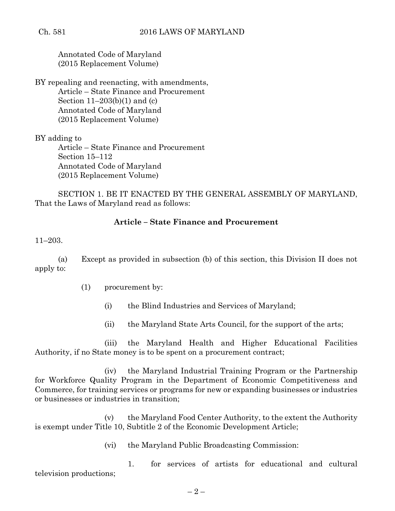Annotated Code of Maryland (2015 Replacement Volume)

BY repealing and reenacting, with amendments, Article – State Finance and Procurement Section  $11-203(b)(1)$  and (c) Annotated Code of Maryland (2015 Replacement Volume)

BY adding to

Article – State Finance and Procurement Section 15–112 Annotated Code of Maryland (2015 Replacement Volume)

SECTION 1. BE IT ENACTED BY THE GENERAL ASSEMBLY OF MARYLAND, That the Laws of Maryland read as follows:

# **Article – State Finance and Procurement**

11–203.

(a) Except as provided in subsection (b) of this section, this Division II does not apply to:

- (1) procurement by:
	- (i) the Blind Industries and Services of Maryland;
	- (ii) the Maryland State Arts Council, for the support of the arts;

(iii) the Maryland Health and Higher Educational Facilities Authority, if no State money is to be spent on a procurement contract;

(iv) the Maryland Industrial Training Program or the Partnership for Workforce Quality Program in the Department of Economic Competitiveness and Commerce, for training services or programs for new or expanding businesses or industries or businesses or industries in transition;

(v) the Maryland Food Center Authority, to the extent the Authority is exempt under Title 10, Subtitle 2 of the Economic Development Article;

(vi) the Maryland Public Broadcasting Commission:

1. for services of artists for educational and cultural television productions;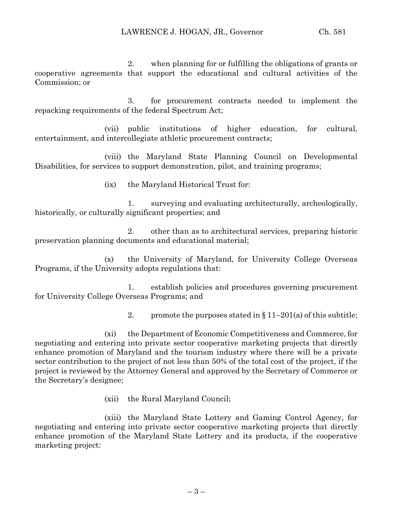2. when planning for or fulfilling the obligations of grants or cooperative agreements that support the educational and cultural activities of the Commission; or

3. for procurement contracts needed to implement the repacking requirements of the federal Spectrum Act;

(vii) public institutions of higher education, for cultural, entertainment, and intercollegiate athletic procurement contracts;

(viii) the Maryland State Planning Council on Developmental Disabilities, for services to support demonstration, pilot, and training programs;

(ix) the Maryland Historical Trust for:

1. surveying and evaluating architecturally, archeologically, historically, or culturally significant properties; and

2. other than as to architectural services, preparing historic preservation planning documents and educational material;

(x) the University of Maryland, for University College Overseas Programs, if the University adopts regulations that:

1. establish policies and procedures governing procurement for University College Overseas Programs; and

2. promote the purposes stated in  $\S 11-201(a)$  of this subtitle;

(xi) the Department of Economic Competitiveness and Commerce, for negotiating and entering into private sector cooperative marketing projects that directly enhance promotion of Maryland and the tourism industry where there will be a private sector contribution to the project of not less than 50% of the total cost of the project, if the project is reviewed by the Attorney General and approved by the Secretary of Commerce or the Secretary's designee;

(xii) the Rural Maryland Council;

(xiii) the Maryland State Lottery and Gaming Control Agency, for negotiating and entering into private sector cooperative marketing projects that directly enhance promotion of the Maryland State Lottery and its products, if the cooperative marketing project: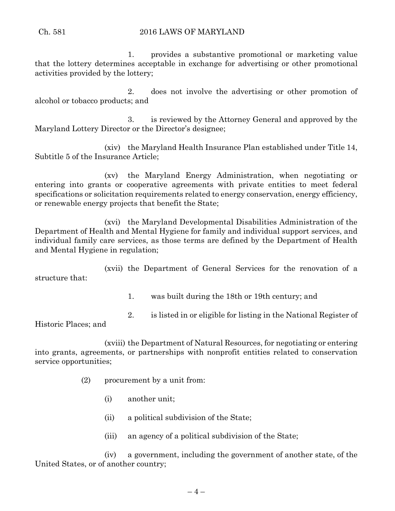## Ch. 581 2016 LAWS OF MARYLAND

1. provides a substantive promotional or marketing value that the lottery determines acceptable in exchange for advertising or other promotional activities provided by the lottery;

2. does not involve the advertising or other promotion of alcohol or tobacco products; and

3. is reviewed by the Attorney General and approved by the Maryland Lottery Director or the Director's designee;

(xiv) the Maryland Health Insurance Plan established under Title 14, Subtitle 5 of the Insurance Article;

(xv) the Maryland Energy Administration, when negotiating or entering into grants or cooperative agreements with private entities to meet federal specifications or solicitation requirements related to energy conservation, energy efficiency, or renewable energy projects that benefit the State;

(xvi) the Maryland Developmental Disabilities Administration of the Department of Health and Mental Hygiene for family and individual support services, and individual family care services, as those terms are defined by the Department of Health and Mental Hygiene in regulation;

(xvii) the Department of General Services for the renovation of a structure that:

1. was built during the 18th or 19th century; and

2. is listed in or eligible for listing in the National Register of

Historic Places; and

(xviii) the Department of Natural Resources, for negotiating or entering into grants, agreements, or partnerships with nonprofit entities related to conservation service opportunities;

- (2) procurement by a unit from:
	- (i) another unit;
	- (ii) a political subdivision of the State;
	- (iii) an agency of a political subdivision of the State;

(iv) a government, including the government of another state, of the United States, or of another country;

 $-4-$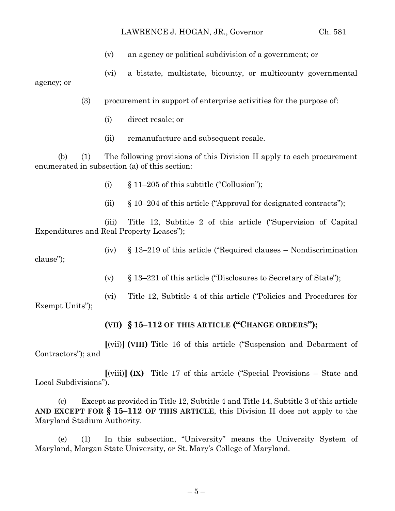### LAWRENCE J. HOGAN, JR., Governor Ch. 581

- (v) an agency or political subdivision of a government; or
- (vi) a bistate, multistate, bicounty, or multicounty governmental

(3) procurement in support of enterprise activities for the purpose of:

(i) direct resale; or

agency; or

(ii) remanufacture and subsequent resale.

(b) (1) The following provisions of this Division II apply to each procurement enumerated in subsection (a) of this section:

- (i)  $§ 11-205$  of this subtitle ("Collusion");
- (ii)  $§ 10-204$  of this article ("Approval for designated contracts");

(iii) Title 12, Subtitle 2 of this article ("Supervision of Capital Expenditures and Real Property Leases");

(iv) § 13–219 of this article ("Required clauses – Nondiscrimination clause");

(v) § 13–221 of this article ("Disclosures to Secretary of State");

(vi) Title 12, Subtitle 4 of this article ("Policies and Procedures for Exempt Units");

# **(VII) § 15–112 OF THIS ARTICLE ("CHANGE ORDERS");**

**[**(vii)**] (VIII)** Title 16 of this article ("Suspension and Debarment of Contractors"); and

**[**(viii)**] (IX)** Title 17 of this article ("Special Provisions – State and Local Subdivisions").

(c) Except as provided in Title 12, Subtitle 4 and Title 14, Subtitle 3 of this article **AND EXCEPT FOR § 15–112 OF THIS ARTICLE**, this Division II does not apply to the Maryland Stadium Authority.

(e) (1) In this subsection, "University" means the University System of Maryland, Morgan State University, or St. Mary's College of Maryland.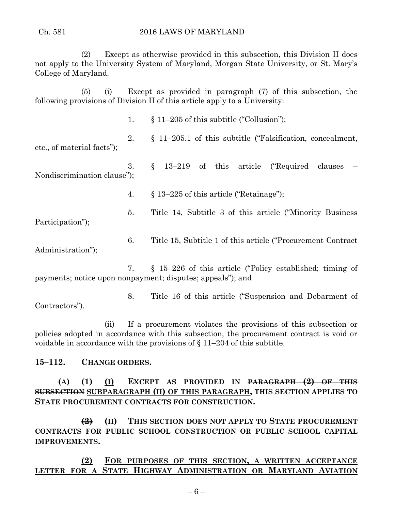(2) Except as otherwise provided in this subsection, this Division II does not apply to the University System of Maryland, Morgan State University, or St. Mary's College of Maryland.

(5) (i) Except as provided in paragraph (7) of this subsection, the following provisions of Division II of this article apply to a University:

1. § 11–205 of this subtitle ("Collusion");

2. § 11–205.1 of this subtitle ("Falsification, concealment, etc., of material facts");

3.  $\S$  13–219 of this article ("Required clauses Nondiscrimination clause");

4. § 13–225 of this article ("Retainage");

5. Title 14, Subtitle 3 of this article ("Minority Business

Participation");

6. Title 15, Subtitle 1 of this article ("Procurement Contract Administration");

7. § 15–226 of this article ("Policy established; timing of payments; notice upon nonpayment; disputes; appeals"); and

8. Title 16 of this article ("Suspension and Debarment of Contractors").

(ii) If a procurement violates the provisions of this subsection or policies adopted in accordance with this subsection, the procurement contract is void or voidable in accordance with the provisions of  $\S 11-204$  of this subtitle.

# **15–112. CHANGE ORDERS.**

**(A) (1) (I) EXCEPT AS PROVIDED IN PARAGRAPH (2) OF THIS SUBSECTION SUBPARAGRAPH (II) OF THIS PARAGRAPH, THIS SECTION APPLIES TO STATE PROCUREMENT CONTRACTS FOR CONSTRUCTION.**

**(2) (II) THIS SECTION DOES NOT APPLY TO STATE PROCUREMENT CONTRACTS FOR PUBLIC SCHOOL CONSTRUCTION OR PUBLIC SCHOOL CAPITAL IMPROVEMENTS.**

**(2) FOR PURPOSES OF THIS SECTION, A WRITTEN ACCEPTANCE LETTER FOR A STATE HIGHWAY ADMINISTRATION OR MARYLAND AVIATION**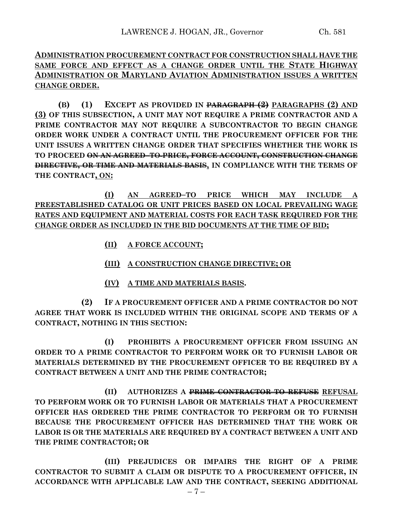**ADMINISTRATION PROCUREMENT CONTRACT FOR CONSTRUCTION SHALL HAVE THE SAME FORCE AND EFFECT AS A CHANGE ORDER UNTIL THE STATE HIGHWAY ADMINISTRATION OR MARYLAND AVIATION ADMINISTRATION ISSUES A WRITTEN CHANGE ORDER.**

**(B) (1) EXCEPT AS PROVIDED IN PARAGRAPH (2) PARAGRAPHS (2) AND (3) OF THIS SUBSECTION, A UNIT MAY NOT REQUIRE A PRIME CONTRACTOR AND A PRIME CONTRACTOR MAY NOT REQUIRE A SUBCONTRACTOR TO BEGIN CHANGE ORDER WORK UNDER A CONTRACT UNTIL THE PROCUREMENT OFFICER FOR THE UNIT ISSUES A WRITTEN CHANGE ORDER THAT SPECIFIES WHETHER THE WORK IS TO PROCEED ON AN AGREED–TO PRICE, FORCE ACCOUNT, CONSTRUCTION CHANGE DIRECTIVE, OR TIME AND MATERIALS BASIS, IN COMPLIANCE WITH THE TERMS OF THE CONTRACT, ON:**

**(I) AN AGREED–TO PRICE WHICH MAY INCLUDE A PREESTABLISHED CATALOG OR UNIT PRICES BASED ON LOCAL PREVAILING WAGE RATES AND EQUIPMENT AND MATERIAL COSTS FOR EACH TASK REQUIRED FOR THE CHANGE ORDER AS INCLUDED IN THE BID DOCUMENTS AT THE TIME OF BID;**

- **(II) A FORCE ACCOUNT;**
- **(III) A CONSTRUCTION CHANGE DIRECTIVE; OR**
- **(IV) A TIME AND MATERIALS BASIS.**

**(2) IF A PROCUREMENT OFFICER AND A PRIME CONTRACTOR DO NOT AGREE THAT WORK IS INCLUDED WITHIN THE ORIGINAL SCOPE AND TERMS OF A CONTRACT, NOTHING IN THIS SECTION:**

**(I) PROHIBITS A PROCUREMENT OFFICER FROM ISSUING AN ORDER TO A PRIME CONTRACTOR TO PERFORM WORK OR TO FURNISH LABOR OR MATERIALS DETERMINED BY THE PROCUREMENT OFFICER TO BE REQUIRED BY A CONTRACT BETWEEN A UNIT AND THE PRIME CONTRACTOR;**

**(II) AUTHORIZES A PRIME CONTRACTOR TO REFUSE REFUSAL TO PERFORM WORK OR TO FURNISH LABOR OR MATERIALS THAT A PROCUREMENT OFFICER HAS ORDERED THE PRIME CONTRACTOR TO PERFORM OR TO FURNISH BECAUSE THE PROCUREMENT OFFICER HAS DETERMINED THAT THE WORK OR LABOR IS OR THE MATERIALS ARE REQUIRED BY A CONTRACT BETWEEN A UNIT AND THE PRIME CONTRACTOR; OR**

**(III) PREJUDICES OR IMPAIRS THE RIGHT OF A PRIME CONTRACTOR TO SUBMIT A CLAIM OR DISPUTE TO A PROCUREMENT OFFICER, IN ACCORDANCE WITH APPLICABLE LAW AND THE CONTRACT, SEEKING ADDITIONAL**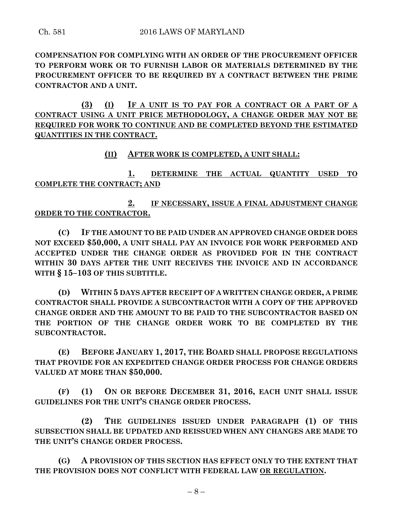**COMPENSATION FOR COMPLYING WITH AN ORDER OF THE PROCUREMENT OFFICER TO PERFORM WORK OR TO FURNISH LABOR OR MATERIALS DETERMINED BY THE PROCUREMENT OFFICER TO BE REQUIRED BY A CONTRACT BETWEEN THE PRIME CONTRACTOR AND A UNIT.**

**(3) (I) IF A UNIT IS TO PAY FOR A CONTRACT OR A PART OF A CONTRACT USING A UNIT PRICE METHODOLOGY, A CHANGE ORDER MAY NOT BE REQUIRED FOR WORK TO CONTINUE AND BE COMPLETED BEYOND THE ESTIMATED QUANTITIES IN THE CONTRACT.**

**(II) AFTER WORK IS COMPLETED, A UNIT SHALL:**

**1. DETERMINE THE ACTUAL QUANTITY USED TO COMPLETE THE CONTRACT; AND**

**2. IF NECESSARY, ISSUE A FINAL ADJUSTMENT CHANGE ORDER TO THE CONTRACTOR.**

**(C) IF THE AMOUNT TO BE PAID UNDER AN APPROVED CHANGE ORDER DOES NOT EXCEED \$50,000, A UNIT SHALL PAY AN INVOICE FOR WORK PERFORMED AND ACCEPTED UNDER THE CHANGE ORDER AS PROVIDED FOR IN THE CONTRACT WITHIN 30 DAYS AFTER THE UNIT RECEIVES THE INVOICE AND IN ACCORDANCE WITH § 15–103 OF THIS SUBTITLE.**

**(D) WITHIN 5 DAYS AFTER RECEIPT OF A WRITTEN CHANGE ORDER, A PRIME CONTRACTOR SHALL PROVIDE A SUBCONTRACTOR WITH A COPY OF THE APPROVED CHANGE ORDER AND THE AMOUNT TO BE PAID TO THE SUBCONTRACTOR BASED ON THE PORTION OF THE CHANGE ORDER WORK TO BE COMPLETED BY THE SUBCONTRACTOR.**

**(E) BEFORE JANUARY 1, 2017, THE BOARD SHALL PROPOSE REGULATIONS THAT PROVIDE FOR AN EXPEDITED CHANGE ORDER PROCESS FOR CHANGE ORDERS VALUED AT MORE THAN \$50,000.**

**(F) (1) ON OR BEFORE DECEMBER 31, 2016, EACH UNIT SHALL ISSUE GUIDELINES FOR THE UNIT'S CHANGE ORDER PROCESS.**

**(2) THE GUIDELINES ISSUED UNDER PARAGRAPH (1) OF THIS SUBSECTION SHALL BE UPDATED AND REISSUED WHEN ANY CHANGES ARE MADE TO THE UNIT'S CHANGE ORDER PROCESS.**

**(G) A PROVISION OF THIS SECTION HAS EFFECT ONLY TO THE EXTENT THAT THE PROVISION DOES NOT CONFLICT WITH FEDERAL LAW OR REGULATION.**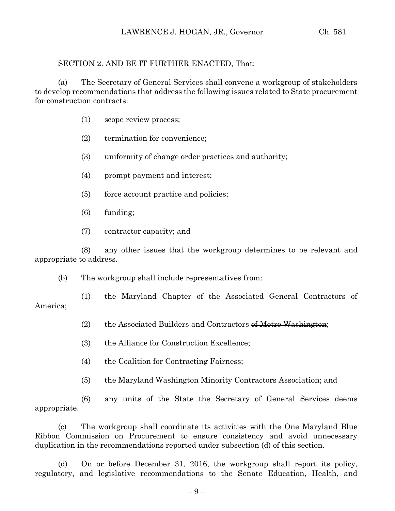## SECTION 2. AND BE IT FURTHER ENACTED, That:

(a) The Secretary of General Services shall convene a workgroup of stakeholders to develop recommendations that address the following issues related to State procurement for construction contracts:

- (1) scope review process;
- (2) termination for convenience;
- (3) uniformity of change order practices and authority;
- (4) prompt payment and interest;
- (5) force account practice and policies;
- (6) funding;
- (7) contractor capacity; and

(8) any other issues that the workgroup determines to be relevant and appropriate to address.

(b) The workgroup shall include representatives from:

(1) the Maryland Chapter of the Associated General Contractors of America;

- (2) the Associated Builders and Contractors of Metro Washington;
- (3) the Alliance for Construction Excellence;
- (4) the Coalition for Contracting Fairness;
- (5) the Maryland Washington Minority Contractors Association; and

(6) any units of the State the Secretary of General Services deems appropriate.

(c) The workgroup shall coordinate its activities with the One Maryland Blue Ribbon Commission on Procurement to ensure consistency and avoid unnecessary duplication in the recommendations reported under subsection (d) of this section.

(d) On or before December 31, 2016, the workgroup shall report its policy, regulatory, and legislative recommendations to the Senate Education, Health, and